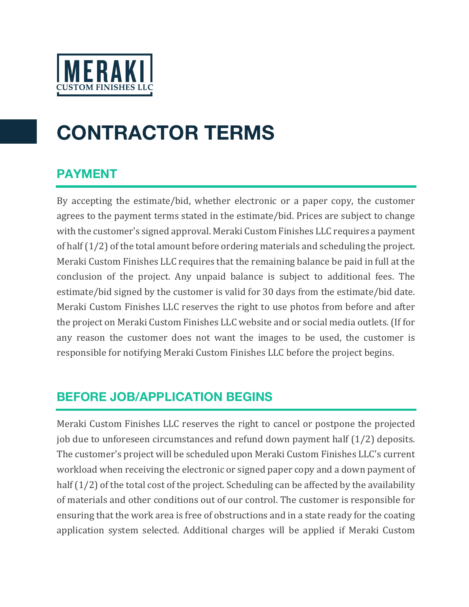

# **CONTRACTOR TERMS**

### **PAYMENT**

By accepting the estimate/bid, whether electronic or a paper copy, the customer agrees to the payment terms stated in the estimate/bid. Prices are subject to change with the customer's signed approval. Meraki Custom Finishes LLC requires a payment of half  $(1/2)$  of the total amount before ordering materials and scheduling the project. Meraki Custom Finishes LLC requires that the remaining balance be paid in full at the conclusion of the project. Any unpaid balance is subject to additional fees. The estimate/bid signed by the customer is valid for 30 days from the estimate/bid date. Meraki Custom Finishes LLC reserves the right to use photos from before and after the project on Meraki Custom Finishes LLC website and or social media outlets. (If for any reason the customer does not want the images to be used, the customer is responsible for notifying Meraki Custom Finishes LLC before the project begins.

#### **BEFORE JOB/APPLICATION BEGINS**

Meraki Custom Finishes LLC reserves the right to cancel or postpone the projected job due to unforeseen circumstances and refund down payment half  $(1/2)$  deposits. The customer's project will be scheduled upon Meraki Custom Finishes LLC's current workload when receiving the electronic or signed paper copy and a down payment of half  $(1/2)$  of the total cost of the project. Scheduling can be affected by the availability of materials and other conditions out of our control. The customer is responsible for ensuring that the work area is free of obstructions and in a state ready for the coating application system selected. Additional charges will be applied if Meraki Custom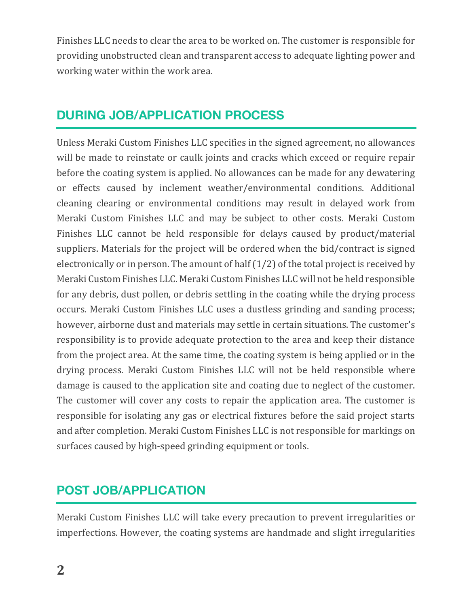Finishes LLC needs to clear the area to be worked on. The customer is responsible for providing unobstructed clean and transparent access to adequate lighting power and working water within the work area.

### **DURING JOB/APPLICATION PROCESS**

Unless Meraki Custom Finishes LLC specifies in the signed agreement, no allowances will be made to reinstate or caulk joints and cracks which exceed or require repair before the coating system is applied. No allowances can be made for any dewatering or effects caused by inclement weather/environmental conditions. Additional cleaning clearing or environmental conditions may result in delayed work from Meraki Custom Finishes LLC and may be subject to other costs. Meraki Custom Finishes LLC cannot be held responsible for delays caused by product/material suppliers. Materials for the project will be ordered when the bid/contract is signed electronically or in person. The amount of half  $(1/2)$  of the total project is received by Meraki Custom Finishes LLC. Meraki Custom Finishes LLC will not be held responsible for any debris, dust pollen, or debris settling in the coating while the drying process occurs. Meraki Custom Finishes LLC uses a dustless grinding and sanding process; however, airborne dust and materials may settle in certain situations. The customer's responsibility is to provide adequate protection to the area and keep their distance from the project area. At the same time, the coating system is being applied or in the drying process. Meraki Custom Finishes LLC will not be held responsible where damage is caused to the application site and coating due to neglect of the customer. The customer will cover any costs to repair the application area. The customer is responsible for isolating any gas or electrical fixtures before the said project starts and after completion. Meraki Custom Finishes LLC is not responsible for markings on surfaces caused by high-speed grinding equipment or tools.

## **POST JOB/APPLICATION**

Meraki Custom Finishes LLC will take every precaution to prevent irregularities or imperfections. However, the coating systems are handmade and slight irregularities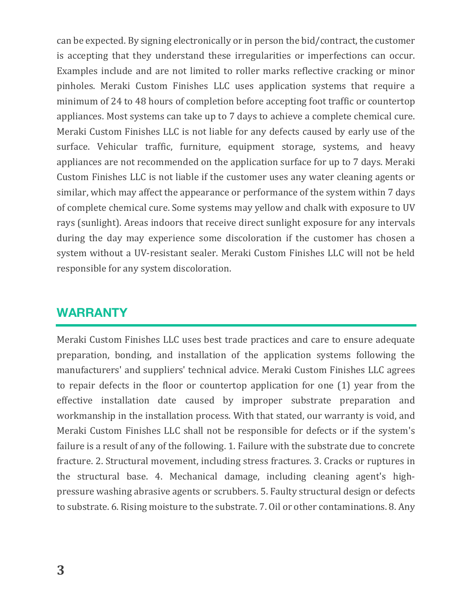can be expected. By signing electronically or in person the bid/contract, the customer is accepting that they understand these irregularities or imperfections can occur. Examples include and are not limited to roller marks reflective cracking or minor pinholes. Meraki Custom Finishes LLC uses application systems that require a minimum of 24 to 48 hours of completion before accepting foot traffic or countertop appliances. Most systems can take up to 7 days to achieve a complete chemical cure. Meraki Custom Finishes LLC is not liable for any defects caused by early use of the surface. Vehicular traffic, furniture, equipment storage, systems, and heavy appliances are not recommended on the application surface for up to 7 days. Meraki Custom Finishes LLC is not liable if the customer uses any water cleaning agents or similar, which may affect the appearance or performance of the system within 7 days of complete chemical cure. Some systems may yellow and chalk with exposure to UV rays (sunlight). Areas indoors that receive direct sunlight exposure for any intervals during the day may experience some discoloration if the customer has chosen a system without a UV-resistant sealer. Meraki Custom Finishes LLC will not be held responsible for any system discoloration.

#### **WARRANTY**

Meraki Custom Finishes LLC uses best trade practices and care to ensure adequate preparation, bonding, and installation of the application systems following the manufacturers' and suppliers' technical advice. Meraki Custom Finishes LLC agrees to repair defects in the floor or countertop application for one  $(1)$  year from the effective installation date caused by improper substrate preparation and workmanship in the installation process. With that stated, our warranty is void, and Meraki Custom Finishes LLC shall not be responsible for defects or if the system's failure is a result of any of the following. 1. Failure with the substrate due to concrete fracture. 2. Structural movement, including stress fractures. 3. Cracks or ruptures in the structural base. 4. Mechanical damage, including cleaning agent's highpressure washing abrasive agents or scrubbers. 5. Faulty structural design or defects to substrate. 6. Rising moisture to the substrate. 7. Oil or other contaminations. 8. Any